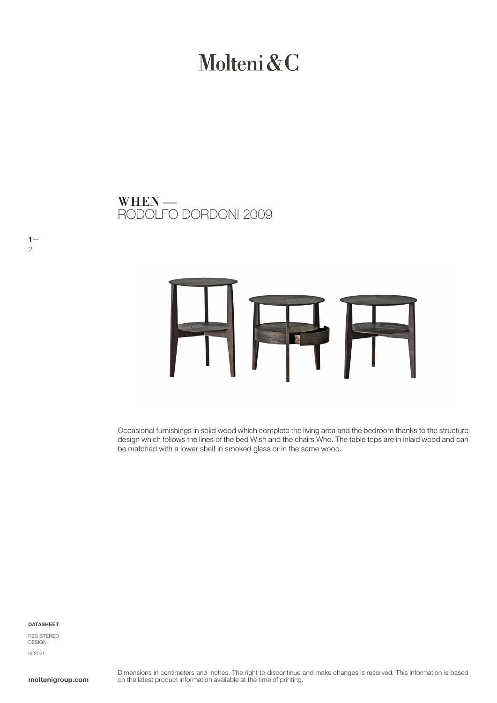# Molteni&C

RODOLFO DORDONI 2009 WHEN —



Occasional furnishings in solid wood which complete the living area and the bedroom thanks to the structure design which follows the lines of the bed Wish and the chairs Who. The table tops are in inlaid wood and can be matched with a lower shelf in smoked glass or in the same wood.

DATASHEET

 $1-$ 

2

REGISTERED DESIGN IX.2021